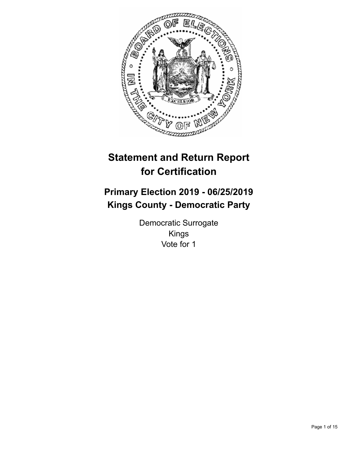

# **Statement and Return Report for Certification**

# **Primary Election 2019 - 06/25/2019 Kings County - Democratic Party**

Democratic Surrogate Kings Vote for 1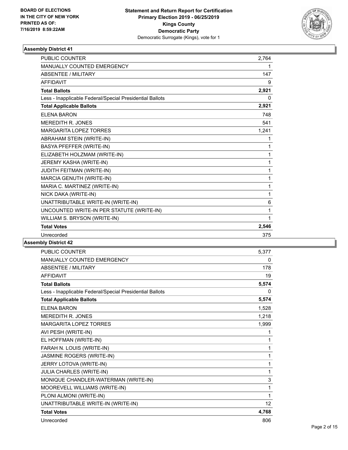

| <b>PUBLIC COUNTER</b>                                    | 2.764 |
|----------------------------------------------------------|-------|
| <b>MANUALLY COUNTED EMERGENCY</b>                        | 1     |
| <b>ABSENTEE / MILITARY</b>                               | 147   |
| <b>AFFIDAVIT</b>                                         | 9     |
| <b>Total Ballots</b>                                     | 2,921 |
| Less - Inapplicable Federal/Special Presidential Ballots | 0     |
| <b>Total Applicable Ballots</b>                          | 2,921 |
| FI FNA BARON                                             | 748   |
| <b>MEREDITH R. JONES</b>                                 | 541   |
| <b>MARGARITA LOPEZ TORRES</b>                            | 1,241 |
| ABRAHAM STEIN (WRITE-IN)                                 | 1     |
| BASYA PFEFFER (WRITE-IN)                                 | 1     |
| ELIZABETH HOLZMAM (WRITE-IN)                             | 1     |
| JEREMY KASHA (WRITE-IN)                                  | 1     |
| JUDITH FEITMAN (WRITE-IN)                                | 1     |
| MARCIA GENUTH (WRITE-IN)                                 | 1     |
| MARIA C. MARTINEZ (WRITE-IN)                             | 1     |
| NICK DAKA (WRITE-IN)                                     | 1     |
| UNATTRIBUTABLE WRITE-IN (WRITE-IN)                       | 6     |
| UNCOUNTED WRITE-IN PER STATUTE (WRITE-IN)                | 1     |
| WILLIAM S. BRYSON (WRITE-IN)                             | 1     |
| <b>Total Votes</b>                                       | 2,546 |
| Unrecorded                                               | 375   |

| <b>PUBLIC COUNTER</b>                                    | 5,377 |
|----------------------------------------------------------|-------|
| <b>MANUALLY COUNTED EMERGENCY</b>                        | 0     |
| <b>ABSENTEE / MILITARY</b>                               | 178   |
| <b>AFFIDAVIT</b>                                         | 19    |
| <b>Total Ballots</b>                                     | 5,574 |
| Less - Inapplicable Federal/Special Presidential Ballots | 0     |
| <b>Total Applicable Ballots</b>                          | 5,574 |
| <b>ELENA BARON</b>                                       | 1,528 |
| MEREDITH R. JONES                                        | 1,218 |
| <b>MARGARITA LOPEZ TORRES</b>                            | 1,999 |
| AVI PESH (WRITE-IN)                                      | 1     |
| EL HOFFMAN (WRITE-IN)                                    | 1     |
| FARAH N. LOUIS (WRITE-IN)                                | 1     |
| JASMINE ROGERS (WRITE-IN)                                | 1     |
| JERRY LOTOVA (WRITE-IN)                                  | 1     |
| JULIA CHARLES (WRITE-IN)                                 | 1     |
| MONIQUE CHANDLER-WATERMAN (WRITE-IN)                     | 3     |
| MOOREVELL WILLIAMS (WRITE-IN)                            | 1     |
| PLONI ALMONI (WRITE-IN)                                  | 1     |
| UNATTRIBUTABLE WRITE-IN (WRITE-IN)                       | 12    |
| <b>Total Votes</b>                                       | 4,768 |
| Unrecorded                                               | 806   |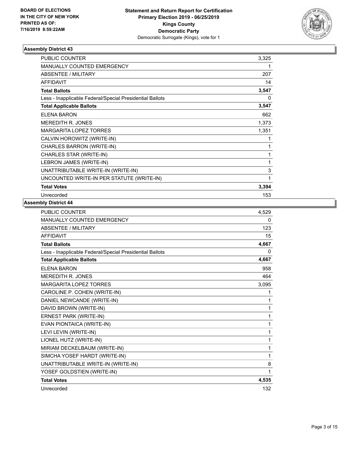

| PUBLIC COUNTER                                           | 3,325        |
|----------------------------------------------------------|--------------|
| <b>MANUALLY COUNTED EMERGENCY</b>                        | 1            |
| <b>ABSENTEE / MILITARY</b>                               | 207          |
| <b>AFFIDAVIT</b>                                         | 14           |
| <b>Total Ballots</b>                                     | 3,547        |
| Less - Inapplicable Federal/Special Presidential Ballots | 0            |
| <b>Total Applicable Ballots</b>                          | 3,547        |
| ELENA BARON                                              | 662          |
| <b>MEREDITH R. JONES</b>                                 | 1,373        |
| <b>MARGARITA LOPEZ TORRES</b>                            | 1,351        |
| CALVIN HOROWITZ (WRITE-IN)                               | 1            |
| CHARLES BARRON (WRITE-IN)                                | 1            |
| CHARLES STAR (WRITE-IN)                                  | $\mathbf{1}$ |
| LEBRON JAMES (WRITE-IN)                                  | 1            |
| UNATTRIBUTABLE WRITE-IN (WRITE-IN)                       | 3            |
| UNCOUNTED WRITE-IN PER STATUTE (WRITE-IN)                | 1            |
| <b>Total Votes</b>                                       | 3,394        |
| Unrecorded                                               | 153          |

| <b>PUBLIC COUNTER</b>                                    | 4,529 |
|----------------------------------------------------------|-------|
| <b>MANUALLY COUNTED EMERGENCY</b>                        | 0     |
| <b>ABSENTEE / MILITARY</b>                               | 123   |
| <b>AFFIDAVIT</b>                                         | 15    |
| <b>Total Ballots</b>                                     | 4,667 |
| Less - Inapplicable Federal/Special Presidential Ballots | 0     |
| <b>Total Applicable Ballots</b>                          | 4,667 |
| <b>ELENA BARON</b>                                       | 958   |
| <b>MEREDITH R. JONES</b>                                 | 464   |
| <b>MARGARITA LOPEZ TORRES</b>                            | 3,095 |
| CAROLINE P. COHEN (WRITE-IN)                             | 1     |
| DANIEL NEWCANDE (WRITE-IN)                               | 1     |
| DAVID BROWN (WRITE-IN)                                   | 1     |
| ERNEST PARK (WRITE-IN)                                   | 1     |
| EVAN PIONTAICA (WRITE-IN)                                | 1     |
| LEVI LEVIN (WRITE-IN)                                    | 1     |
| LIONEL HUTZ (WRITE-IN)                                   | 1     |
| MIRIAM DECKELBAUM (WRITE-IN)                             | 1     |
| SIMCHA YOSEF HARDT (WRITE-IN)                            | 1     |
| UNATTRIBUTABLE WRITE-IN (WRITE-IN)                       | 8     |
| YOSEF GOLDSTIEN (WRITE-IN)                               | 1     |
| <b>Total Votes</b>                                       | 4,535 |
| Unrecorded                                               | 132   |
|                                                          |       |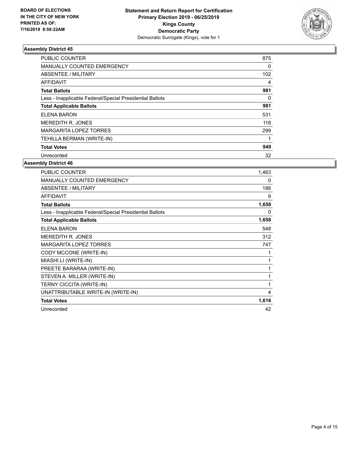

| <b>PUBLIC COUNTER</b>                                    | 875 |
|----------------------------------------------------------|-----|
| <b>MANUALLY COUNTED EMERGENCY</b>                        | 0   |
| ABSENTEE / MILITARY                                      | 102 |
| AFFIDAVIT                                                | 4   |
| <b>Total Ballots</b>                                     | 981 |
| Less - Inapplicable Federal/Special Presidential Ballots | 0   |
| <b>Total Applicable Ballots</b>                          | 981 |
| ELENA BARON                                              | 531 |
| <b>MEREDITH R. JONES</b>                                 | 118 |
| MARGARITA LOPEZ TORRES                                   | 299 |
| TEHILLA BERMAN (WRITE-IN)                                |     |
| <b>Total Votes</b>                                       | 949 |
| Unrecorded                                               | 32  |

| PUBLIC COUNTER                                           | 1,463 |
|----------------------------------------------------------|-------|
| <b>MANUALLY COUNTED EMERGENCY</b>                        | 0     |
| ABSENTEE / MILITARY                                      | 186   |
| <b>AFFIDAVIT</b>                                         | 9     |
| <b>Total Ballots</b>                                     | 1,658 |
| Less - Inapplicable Federal/Special Presidential Ballots | 0     |
| <b>Total Applicable Ballots</b>                          | 1,658 |
| <b>ELENA BARON</b>                                       | 548   |
| <b>MEREDITH R. JONES</b>                                 | 312   |
| <b>MARGARITA LOPEZ TORRES</b>                            | 747   |
| CODY MCCONE (WRITE-IN)                                   |       |
| MIASHI LI (WRITE-IN)                                     | 1     |
| PREETE BARARAA (WRITE-IN)                                | 1     |
| STEVEN A. MILLER (WRITE-IN)                              | 1     |
| TERNY CICCITA (WRITE-IN)                                 | 1     |
| UNATTRIBUTABLE WRITE-IN (WRITE-IN)                       | 4     |
| <b>Total Votes</b>                                       | 1,616 |
| Unrecorded                                               | 42    |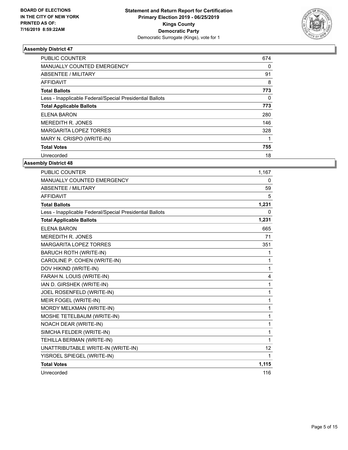

| <b>PUBLIC COUNTER</b>                                    | 674 |
|----------------------------------------------------------|-----|
| <b>MANUALLY COUNTED EMERGENCY</b>                        | 0   |
| ABSENTEE / MILITARY                                      | 91  |
| AFFIDAVIT                                                | 8   |
| <b>Total Ballots</b>                                     | 773 |
| Less - Inapplicable Federal/Special Presidential Ballots | 0   |
| <b>Total Applicable Ballots</b>                          | 773 |
| ELENA BARON                                              | 280 |
| <b>MEREDITH R. JONES</b>                                 | 146 |
| MARGARITA LOPEZ TORRES                                   | 328 |
| MARY N. CRISPO (WRITE-IN)                                |     |
| <b>Total Votes</b>                                       | 755 |
| Unrecorded                                               | 18  |

| PUBLIC COUNTER                                           | 1,167        |
|----------------------------------------------------------|--------------|
| MANUALLY COUNTED EMERGENCY                               | $\mathbf{0}$ |
| <b>ABSENTEE / MILITARY</b>                               | 59           |
| <b>AFFIDAVIT</b>                                         | 5            |
| <b>Total Ballots</b>                                     | 1,231        |
| Less - Inapplicable Federal/Special Presidential Ballots | 0            |
| <b>Total Applicable Ballots</b>                          | 1,231        |
| <b>ELENA BARON</b>                                       | 665          |
| MEREDITH R. JONES                                        | 71           |
| <b>MARGARITA LOPEZ TORRES</b>                            | 351          |
| <b>BARUCH ROTH (WRITE-IN)</b>                            | $\mathbf{1}$ |
| CAROLINE P. COHEN (WRITE-IN)                             | 1            |
| DOV HIKIND (WRITE-IN)                                    | 1            |
| FARAH N. LOUIS (WRITE-IN)                                | 4            |
| IAN D. GIRSHEK (WRITE-IN)                                | 1            |
| JOEL ROSENFELD (WRITE-IN)                                | 1            |
| MEIR FOGEL (WRITE-IN)                                    | 1            |
| MORDY MELKMAN (WRITE-IN)                                 | 1            |
| MOSHE TETELBAUM (WRITE-IN)                               | 1            |
| NOACH DEAR (WRITE-IN)                                    | 1            |
| SIMCHA FELDER (WRITE-IN)                                 | 1            |
| TEHILLA BERMAN (WRITE-IN)                                | 1            |
| UNATTRIBUTABLE WRITE-IN (WRITE-IN)                       | 12           |
| YISROEL SPIEGEL (WRITE-IN)                               | $\mathbf{1}$ |
| <b>Total Votes</b>                                       | 1,115        |
| Unrecorded                                               | 116          |
|                                                          |              |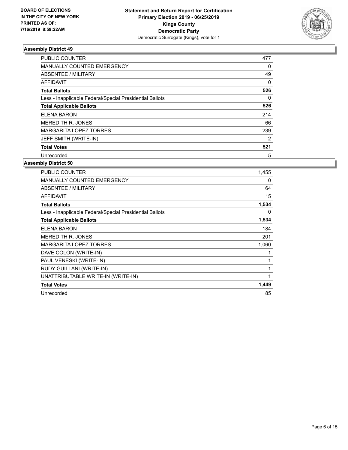

| <b>PUBLIC COUNTER</b>                                    | 477            |
|----------------------------------------------------------|----------------|
| <b>MANUALLY COUNTED EMERGENCY</b>                        | 0              |
| ABSENTEE / MILITARY                                      | 49             |
| <b>AFFIDAVIT</b>                                         | 0              |
| <b>Total Ballots</b>                                     | 526            |
| Less - Inapplicable Federal/Special Presidential Ballots | 0              |
| <b>Total Applicable Ballots</b>                          | 526            |
| <b>ELENA BARON</b>                                       | 214            |
| <b>MEREDITH R. JONES</b>                                 | 66             |
| MARGARITA LOPEZ TORRES                                   | 239            |
| JEFF SMITH (WRITE-IN)                                    | $\overline{2}$ |
| <b>Total Votes</b>                                       | 521            |
| Unrecorded                                               | 5              |

| PUBLIC COUNTER                                           | 1,455 |
|----------------------------------------------------------|-------|
| <b>MANUALLY COUNTED EMERGENCY</b>                        | 0     |
| ABSENTEE / MILITARY                                      | 64    |
| AFFIDAVIT                                                | 15    |
| <b>Total Ballots</b>                                     | 1,534 |
| Less - Inapplicable Federal/Special Presidential Ballots | 0     |
| <b>Total Applicable Ballots</b>                          | 1,534 |
| ELENA BARON                                              | 184   |
| <b>MEREDITH R. JONES</b>                                 | 201   |
| <b>MARGARITA LOPEZ TORRES</b>                            | 1,060 |
| DAVE COLON (WRITE-IN)                                    |       |
| PAUL VENESKI (WRITE-IN)                                  |       |
| RUDY GUILLANI (WRITE-IN)                                 | 1     |
| UNATTRIBUTABLE WRITE-IN (WRITE-IN)                       | 1     |
| <b>Total Votes</b>                                       | 1,449 |
| Unrecorded                                               | 85    |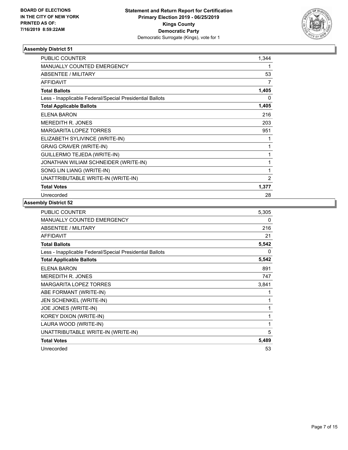

| PUBLIC COUNTER                                           | 1,344 |
|----------------------------------------------------------|-------|
| <b>MANUALLY COUNTED EMERGENCY</b>                        | 1     |
| <b>ABSENTEE / MILITARY</b>                               | 53    |
| <b>AFFIDAVIT</b>                                         | 7     |
| <b>Total Ballots</b>                                     | 1,405 |
| Less - Inapplicable Federal/Special Presidential Ballots | 0     |
| <b>Total Applicable Ballots</b>                          | 1,405 |
| ELENA BARON                                              | 216   |
| <b>MEREDITH R. JONES</b>                                 | 203   |
| <b>MARGARITA LOPEZ TORRES</b>                            | 951   |
| ELIZABETH SYLIVINCE (WRITE-IN)                           | 1     |
| <b>GRAIG CRAVER (WRITE-IN)</b>                           | 1     |
| GUILLERMO TEJEDA (WRITE-IN)                              | 1     |
| JONATHAN WILIAM SCHNEIDER (WRITE-IN)                     | 1     |
| SONG LIN LIANG (WRITE-IN)                                | 1     |
| UNATTRIBUTABLE WRITE-IN (WRITE-IN)                       | 2     |
| <b>Total Votes</b>                                       | 1,377 |
| Unrecorded                                               | 28    |

| PUBLIC COUNTER                                           | 5,305 |
|----------------------------------------------------------|-------|
| MANUALLY COUNTED EMERGENCY                               | 0     |
| ABSENTEE / MILITARY                                      | 216   |
| <b>AFFIDAVIT</b>                                         | 21    |
| <b>Total Ballots</b>                                     | 5,542 |
| Less - Inapplicable Federal/Special Presidential Ballots | 0     |
| <b>Total Applicable Ballots</b>                          | 5,542 |
| ELENA BARON                                              | 891   |
| <b>MEREDITH R. JONES</b>                                 | 747   |
| <b>MARGARITA LOPEZ TORRES</b>                            | 3,841 |
| ABE FORMANT (WRITE-IN)                                   | 1     |
| JEN SCHENKEL (WRITE-IN)                                  | 1     |
| JOE JONES (WRITE-IN)                                     | 1     |
| KOREY DIXON (WRITE-IN)                                   | 1     |
| LAURA WOOD (WRITE-IN)                                    | 1     |
| UNATTRIBUTABLE WRITE-IN (WRITE-IN)                       | 5     |
| <b>Total Votes</b>                                       | 5,489 |
| Unrecorded                                               | 53    |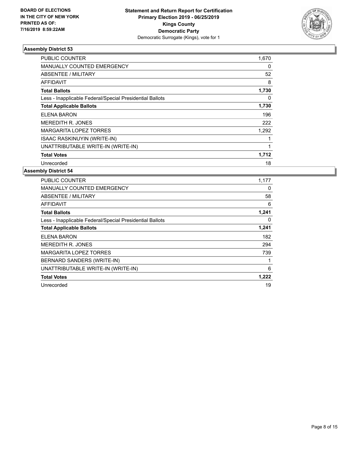

| <b>PUBLIC COUNTER</b>                                    | 1,670 |
|----------------------------------------------------------|-------|
| MANUALLY COUNTED EMERGENCY                               | 0     |
| ABSENTEE / MILITARY                                      | 52    |
| AFFIDAVIT                                                | 8     |
| <b>Total Ballots</b>                                     | 1,730 |
| Less - Inapplicable Federal/Special Presidential Ballots | 0     |
| <b>Total Applicable Ballots</b>                          | 1,730 |
| ELENA BARON                                              | 196   |
| <b>MEREDITH R. JONES</b>                                 | 222   |
| <b>MARGARITA LOPEZ TORRES</b>                            | 1,292 |
| <b>ISAAC RASKINUYIN (WRITE-IN)</b>                       |       |
| UNATTRIBUTABLE WRITE-IN (WRITE-IN)                       |       |
| <b>Total Votes</b>                                       | 1,712 |
| Unrecorded                                               | 18    |

| <b>PUBLIC COUNTER</b>                                    | 1,177 |
|----------------------------------------------------------|-------|
| MANUALLY COUNTED EMERGENCY                               | 0     |
| ABSENTEE / MILITARY                                      | 58    |
| AFFIDAVIT                                                | 6     |
| <b>Total Ballots</b>                                     | 1,241 |
| Less - Inapplicable Federal/Special Presidential Ballots | 0     |
| <b>Total Applicable Ballots</b>                          | 1,241 |
| ELENA BARON                                              | 182   |
| <b>MEREDITH R. JONES</b>                                 | 294   |
| <b>MARGARITA LOPEZ TORRES</b>                            | 739   |
| BERNARD SANDERS (WRITE-IN)                               |       |
| UNATTRIBUTABLE WRITE-IN (WRITE-IN)                       | 6     |
| <b>Total Votes</b>                                       | 1,222 |
| Unrecorded                                               | 19    |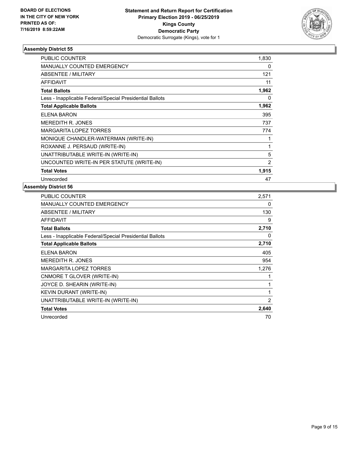

| <b>PUBLIC COUNTER</b>                                    | 1,830          |
|----------------------------------------------------------|----------------|
| <b>MANUALLY COUNTED EMERGENCY</b>                        | 0              |
| ABSENTEE / MILITARY                                      | 121            |
| <b>AFFIDAVIT</b>                                         | 11             |
| <b>Total Ballots</b>                                     | 1,962          |
| Less - Inapplicable Federal/Special Presidential Ballots | 0              |
| <b>Total Applicable Ballots</b>                          | 1,962          |
| ELENA BARON                                              | 395            |
| MEREDITH R. JONES                                        | 737            |
| <b>MARGARITA LOPEZ TORRES</b>                            | 774            |
| MONIQUE CHANDLER-WATERMAN (WRITE-IN)                     |                |
| ROXANNE J. PERSAUD (WRITE-IN)                            | 1              |
| UNATTRIBUTABLE WRITE-IN (WRITE-IN)                       | 5              |
| UNCOUNTED WRITE-IN PER STATUTE (WRITE-IN)                | $\overline{2}$ |
| <b>Total Votes</b>                                       | 1,915          |
| Unrecorded                                               | 47             |

| PUBLIC COUNTER                                           | 2,571 |
|----------------------------------------------------------|-------|
| MANUALLY COUNTED EMERGENCY                               | 0     |
| <b>ABSENTEE / MILITARY</b>                               | 130   |
| AFFIDAVIT                                                | 9     |
| <b>Total Ballots</b>                                     | 2,710 |
| Less - Inapplicable Federal/Special Presidential Ballots | 0     |
| <b>Total Applicable Ballots</b>                          | 2,710 |
| ELENA BARON                                              | 405   |
| <b>MEREDITH R. JONES</b>                                 | 954   |
| <b>MARGARITA LOPEZ TORRES</b>                            | 1,276 |
| CNMORE T GLOVER (WRITE-IN)                               | 1     |
| JOYCE D. SHEARIN (WRITE-IN)                              | 1     |
| KEVIN DURANT (WRITE-IN)                                  | 1     |
| UNATTRIBUTABLE WRITE-IN (WRITE-IN)                       | 2     |
| <b>Total Votes</b>                                       | 2,640 |
| Unrecorded                                               | 70    |
|                                                          |       |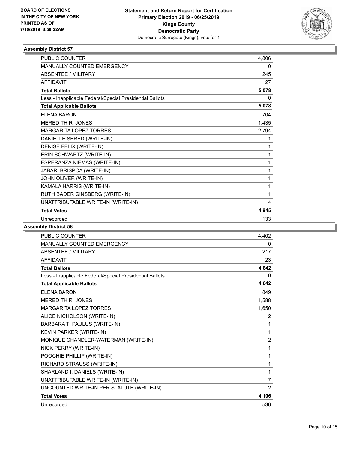

| <b>PUBLIC COUNTER</b>                                    | 4,806        |
|----------------------------------------------------------|--------------|
| <b>MANUALLY COUNTED EMERGENCY</b>                        | 0            |
| <b>ABSENTEE / MILITARY</b>                               | 245          |
| <b>AFFIDAVIT</b>                                         | 27           |
| <b>Total Ballots</b>                                     | 5,078        |
| Less - Inapplicable Federal/Special Presidential Ballots | 0            |
| <b>Total Applicable Ballots</b>                          | 5,078        |
| <b>ELENA BARON</b>                                       | 704          |
| <b>MEREDITH R. JONES</b>                                 | 1,435        |
| <b>MARGARITA LOPEZ TORRES</b>                            | 2,794        |
| DANIELLE SERED (WRITE-IN)                                | 1            |
| DENISE FELIX (WRITE-IN)                                  | 1            |
| ERIN SCHWARTZ (WRITE-IN)                                 | $\mathbf{1}$ |
| ESPERANZA NIEMAS (WRITE-IN)                              | 1            |
| JABARI BRISPOA (WRITE-IN)                                | 1            |
| JOHN OLIVER (WRITE-IN)                                   | 1            |
| KAMALA HARRIS (WRITE-IN)                                 | 1            |
| RUTH BADER GINSBERG (WRITE-IN)                           | 1            |
| UNATTRIBUTABLE WRITE-IN (WRITE-IN)                       | 4            |
| <b>Total Votes</b>                                       | 4,945        |
| Unrecorded                                               | 133          |

| <b>PUBLIC COUNTER</b>                                    | 4,402          |
|----------------------------------------------------------|----------------|
| <b>MANUALLY COUNTED EMERGENCY</b>                        | 0              |
| ABSENTEE / MILITARY                                      | 217            |
| <b>AFFIDAVIT</b>                                         | 23             |
| <b>Total Ballots</b>                                     | 4,642          |
| Less - Inapplicable Federal/Special Presidential Ballots | 0              |
| <b>Total Applicable Ballots</b>                          | 4,642          |
| <b>ELENA BARON</b>                                       | 849            |
| MEREDITH R. JONES                                        | 1,588          |
| <b>MARGARITA LOPEZ TORRES</b>                            | 1,650          |
| ALICE NICHOLSON (WRITE-IN)                               | 2              |
| BARBARA T. PAULUS (WRITE-IN)                             | 1              |
| KEVIN PARKER (WRITE-IN)                                  | 1              |
| MONIQUE CHANDLER-WATERMAN (WRITE-IN)                     | $\overline{2}$ |
| NICK PERRY (WRITE-IN)                                    | 1              |
| POOCHIE PHILLIP (WRITE-IN)                               | 1              |
| RICHARD STRAUSS (WRITE-IN)                               | 1              |
| SHARLAND I. DANIELS (WRITE-IN)                           | 1              |
| UNATTRIBUTABLE WRITE-IN (WRITE-IN)                       | $\overline{7}$ |
| UNCOUNTED WRITE-IN PER STATUTE (WRITE-IN)                | $\overline{2}$ |
| <b>Total Votes</b>                                       | 4,106          |
| Unrecorded                                               | 536            |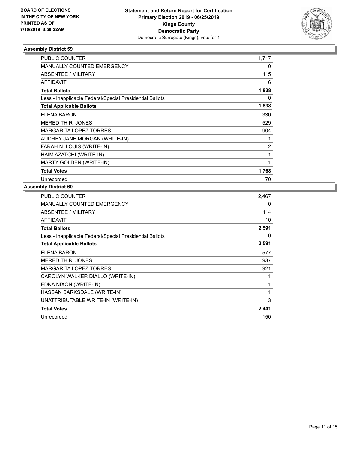

| <b>PUBLIC COUNTER</b>                                    | 1,717          |
|----------------------------------------------------------|----------------|
| MANUALLY COUNTED EMERGENCY                               | 0              |
| ABSENTEE / MILITARY                                      | 115            |
| <b>AFFIDAVIT</b>                                         | 6              |
| <b>Total Ballots</b>                                     | 1,838          |
| Less - Inapplicable Federal/Special Presidential Ballots | 0              |
| <b>Total Applicable Ballots</b>                          | 1,838          |
| ELENA BARON                                              | 330            |
| <b>MEREDITH R. JONES</b>                                 | 529            |
| <b>MARGARITA LOPEZ TORRES</b>                            | 904            |
| AUDREY JANE MORGAN (WRITE-IN)                            |                |
| FARAH N. LOUIS (WRITE-IN)                                | $\overline{c}$ |
| HAIM AZATCHI (WRITE-IN)                                  | 1              |
| MARTY GOLDEN (WRITE-IN)                                  | $\mathbf{1}$   |
| <b>Total Votes</b>                                       | 1,768          |
| Unrecorded                                               | 70             |

| PUBLIC COUNTER                                           | 2,467 |
|----------------------------------------------------------|-------|
| MANUALLY COUNTED EMERGENCY                               | 0     |
| ABSENTEE / MILITARY                                      | 114   |
| AFFIDAVIT                                                | 10    |
| <b>Total Ballots</b>                                     | 2,591 |
| Less - Inapplicable Federal/Special Presidential Ballots | 0     |
| <b>Total Applicable Ballots</b>                          | 2,591 |
| <b>ELENA BARON</b>                                       | 577   |
| <b>MEREDITH R. JONES</b>                                 | 937   |
| <b>MARGARITA LOPEZ TORRES</b>                            | 921   |
| CAROLYN WALKER DIALLO (WRITE-IN)                         |       |
| EDNA NIXON (WRITE-IN)                                    | 1     |
| HASSAN BARKSDALE (WRITE-IN)                              | 1     |
| UNATTRIBUTABLE WRITE-IN (WRITE-IN)                       | 3     |
| <b>Total Votes</b>                                       | 2,441 |
| Unrecorded                                               | 150   |
|                                                          |       |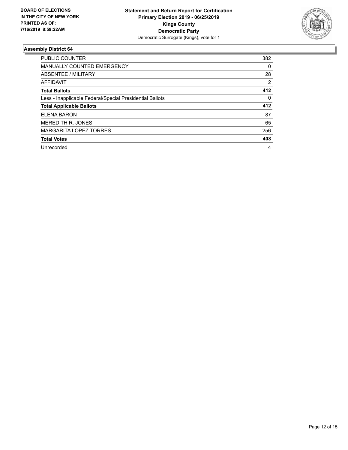

| <b>PUBLIC COUNTER</b>                                    | 382 |
|----------------------------------------------------------|-----|
| <b>MANUALLY COUNTED EMERGENCY</b>                        | 0   |
| ABSENTEE / MILITARY                                      | 28  |
| AFFIDAVIT                                                | 2   |
| <b>Total Ballots</b>                                     | 412 |
| Less - Inapplicable Federal/Special Presidential Ballots | 0   |
| <b>Total Applicable Ballots</b>                          | 412 |
| <b>ELENA BARON</b>                                       | 87  |
| <b>MEREDITH R. JONES</b>                                 | 65  |
| MARGARITA LOPEZ TORRES                                   | 256 |
| <b>Total Votes</b>                                       | 408 |
| Unrecorded                                               | 4   |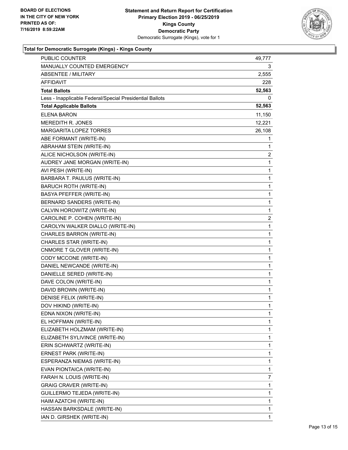

# **Total for Democratic Surrogate (Kings) - Kings County**

| <b>PUBLIC COUNTER</b>                                    | 49,777       |
|----------------------------------------------------------|--------------|
| MANUALLY COUNTED EMERGENCY                               | 3.           |
| <b>ABSENTEE / MILITARY</b>                               | 2,555        |
| AFFIDAVIT                                                | 228          |
| <b>Total Ballots</b>                                     | 52,563       |
| Less - Inapplicable Federal/Special Presidential Ballots | 0            |
| <b>Total Applicable Ballots</b>                          | 52,563       |
| <b>ELENA BARON</b>                                       | 11,150       |
| <b>MEREDITH R. JONES</b>                                 | 12,221       |
| <b>MARGARITA LOPEZ TORRES</b>                            | 26,108       |
| ABE FORMANT (WRITE-IN)                                   | 1            |
| ABRAHAM STEIN (WRITE-IN)                                 | 1            |
| ALICE NICHOLSON (WRITE-IN)                               | 2            |
| AUDREY JANE MORGAN (WRITE-IN)                            | 1            |
| AVI PESH (WRITE-IN)                                      | 1            |
| BARBARA T. PAULUS (WRITE-IN)                             | 1            |
| <b>BARUCH ROTH (WRITE-IN)</b>                            | 1            |
| BASYA PFEFFER (WRITE-IN)                                 | 1            |
| BERNARD SANDERS (WRITE-IN)                               | 1            |
| CALVIN HOROWITZ (WRITE-IN)                               | 1            |
| CAROLINE P. COHEN (WRITE-IN)                             | 2            |
| CAROLYN WALKER DIALLO (WRITE-IN)                         | 1            |
| CHARLES BARRON (WRITE-IN)                                | 1            |
| CHARLES STAR (WRITE-IN)                                  | 1            |
| CNMORE T GLOVER (WRITE-IN)                               | 1            |
| CODY MCCONE (WRITE-IN)                                   | 1            |
| DANIEL NEWCANDE (WRITE-IN)                               | 1            |
| DANIELLE SERED (WRITE-IN)                                | 1            |
| DAVE COLON (WRITE-IN)                                    | 1            |
| DAVID BROWN (WRITE-IN)                                   | 1            |
| DENISE FELIX (WRITE-IN)                                  | 1            |
| DOV HIKIND (WRITE-IN)                                    | $\mathbf{1}$ |
| EDNA NIXON (WRITE-IN)                                    | 1            |
| EL HOFFMAN (WRITE-IN)                                    | 1            |
| ELIZABETH HOLZMAM (WRITE-IN)                             | 1            |
| ELIZABETH SYLIVINCE (WRITE-IN)                           | 1            |
| ERIN SCHWARTZ (WRITE-IN)                                 | 1            |
| ERNEST PARK (WRITE-IN)                                   | 1            |
| ESPERANZA NIEMAS (WRITE-IN)                              | 1            |
| EVAN PIONTAICA (WRITE-IN)                                | 1            |
| FARAH N. LOUIS (WRITE-IN)                                | 7            |
| <b>GRAIG CRAVER (WRITE-IN)</b>                           | 1            |
| GUILLERMO TEJEDA (WRITE-IN)                              | 1            |
| HAIM AZATCHI (WRITE-IN)                                  | 1            |
| HASSAN BARKSDALE (WRITE-IN)                              | 1            |
| IAN D. GIRSHEK (WRITE-IN)                                | 1            |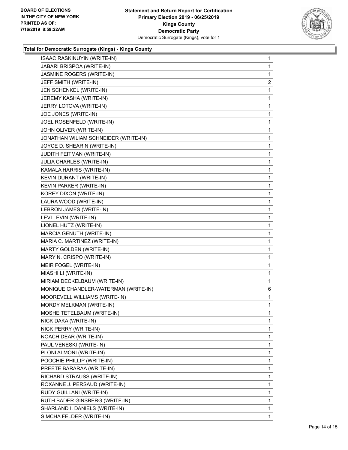

# **Total for Democratic Surrogate (Kings) - Kings County**

| ISAAC RASKINUYIN (WRITE-IN)          | $\mathbf{1}$   |
|--------------------------------------|----------------|
| JABARI BRISPOA (WRITE-IN)            | 1              |
| JASMINE ROGERS (WRITE-IN)            | 1              |
| JEFF SMITH (WRITE-IN)                | $\overline{2}$ |
| JEN SCHENKEL (WRITE-IN)              | 1              |
| JEREMY KASHA (WRITE-IN)              | 1              |
| JERRY LOTOVA (WRITE-IN)              | 1              |
| JOE JONES (WRITE-IN)                 | 1              |
| JOEL ROSENFELD (WRITE-IN)            | 1              |
| JOHN OLIVER (WRITE-IN)               | 1              |
| JONATHAN WILIAM SCHNEIDER (WRITE-IN) | 1              |
| JOYCE D. SHEARIN (WRITE-IN)          | 1              |
| JUDITH FEITMAN (WRITE-IN)            | 1              |
| JULIA CHARLES (WRITE-IN)             | 1              |
| KAMALA HARRIS (WRITE-IN)             | 1              |
| KEVIN DURANT (WRITE-IN)              | 1              |
| KEVIN PARKER (WRITE-IN)              | 1              |
| KOREY DIXON (WRITE-IN)               | 1              |
| LAURA WOOD (WRITE-IN)                | 1              |
| LEBRON JAMES (WRITE-IN)              | 1              |
| LEVI LEVIN (WRITE-IN)                | 1              |
| LIONEL HUTZ (WRITE-IN)               | 1              |
| MARCIA GENUTH (WRITE-IN)             | 1              |
| MARIA C. MARTINEZ (WRITE-IN)         | 1              |
| MARTY GOLDEN (WRITE-IN)              | 1              |
| MARY N. CRISPO (WRITE-IN)            | 1              |
| MEIR FOGEL (WRITE-IN)                | 1              |
| MIASHI LI (WRITE-IN)                 | 1              |
| MIRIAM DECKELBAUM (WRITE-IN)         | 1              |
| MONIQUE CHANDLER-WATERMAN (WRITE-IN) | 6              |
| MOOREVELL WILLIAMS (WRITE-IN)        | 1              |
| MORDY MELKMAN (WRITE-IN)             | 1              |
| MOSHE TETELBAUM (WRITE-IN)           | 1              |
| NICK DAKA (WRITE-IN)                 | 1              |
| NICK PERRY (WRITE-IN)                | 1              |
| NOACH DEAR (WRITE-IN)                | 1              |
| PAUL VENESKI (WRITE-IN)              | 1              |
| PLONI ALMONI (WRITE-IN)              | 1              |
| POOCHIE PHILLIP (WRITE-IN)           | 1              |
| PREETE BARARAA (WRITE-IN)            | 1              |
| RICHARD STRAUSS (WRITE-IN)           | 1              |
| ROXANNE J. PERSAUD (WRITE-IN)        | 1              |
| RUDY GUILLANI (WRITE-IN)             | 1              |
| RUTH BADER GINSBERG (WRITE-IN)       | 1              |
| SHARLAND I. DANIELS (WRITE-IN)       | 1              |
| SIMCHA FELDER (WRITE-IN)             | 1              |
|                                      |                |